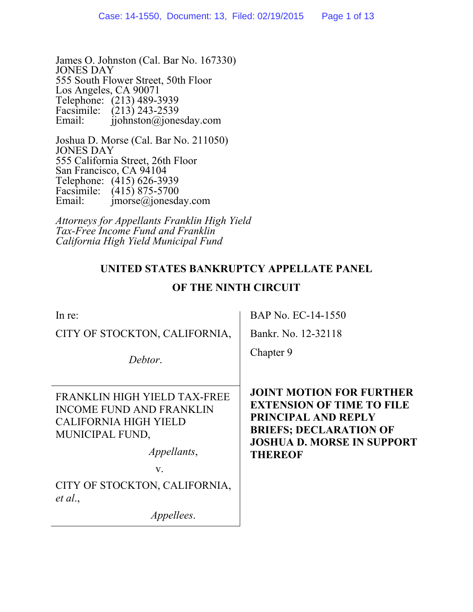James O. Johnston (Cal. Bar No. 167330) JONES DAY 555 South Flower Street, 50th Floor Los Angeles, CA 90071 Telephone: (213) 489-3939 Facsimile: (213) 243-2539 Email: ijohnston@jonesday.com

Joshua D. Morse (Cal. Bar No. 211050) JONES DAY 555 California Street, 26th Floor San Francisco, CA 94104 Telephone: (415) 626-3939 Facsimile:  $(415) 875-5700$ <br>Email: imorse@ionesda  $imorse@jonesday.com$ 

*Attorneys for Appellants Franklin High Yield Tax-Free Income Fund and Franklin California High Yield Municipal Fund* 

# **UNITED STATES BANKRUPTCY APPELLATE PANEL**

## **OF THE NINTH CIRCUIT**

| In re:                                                                                                             | BAP No. EC-14-1550                                                                                                                                               |
|--------------------------------------------------------------------------------------------------------------------|------------------------------------------------------------------------------------------------------------------------------------------------------------------|
| CITY OF STOCKTON, CALIFORNIA,                                                                                      | Bankr. No. 12-32118                                                                                                                                              |
| Debtor.                                                                                                            | Chapter 9                                                                                                                                                        |
| FRANKLIN HIGH YIELD TAX-FREE<br><b>INCOME FUND AND FRANKLIN</b><br><b>CALIFORNIA HIGH YIELD</b><br>MUNICIPAL FUND, | <b>JOINT MOTION FOR FURTHER</b><br><b>EXTENSION OF TIME TO FILE</b><br>PRINCIPAL AND REPLY<br><b>BRIEFS; DECLARATION OF</b><br><b>JOSHUA D. MORSE IN SUPPORT</b> |
| <i>Appellants,</i>                                                                                                 | <b>THEREOF</b>                                                                                                                                                   |
| V.                                                                                                                 |                                                                                                                                                                  |
| CITY OF STOCKTON, CALIFORNIA,<br>et al.,                                                                           |                                                                                                                                                                  |
| <i>Appellees.</i>                                                                                                  |                                                                                                                                                                  |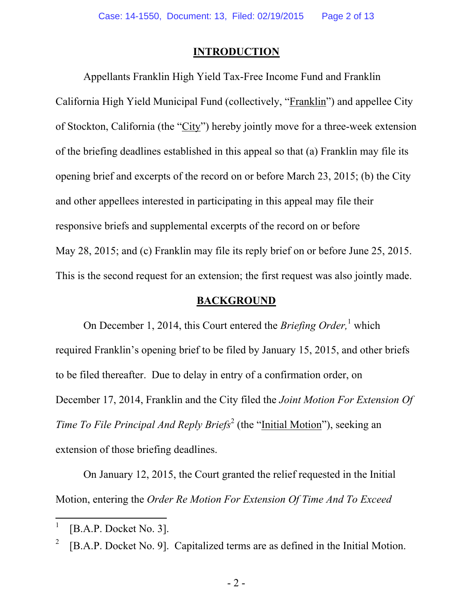### **INTRODUCTION**

Appellants Franklin High Yield Tax-Free Income Fund and Franklin California High Yield Municipal Fund (collectively, "Franklin") and appellee City of Stockton, California (the "City") hereby jointly move for a three-week extension of the briefing deadlines established in this appeal so that (a) Franklin may file its opening brief and excerpts of the record on or before March 23, 2015; (b) the City and other appellees interested in participating in this appeal may file their responsive briefs and supplemental excerpts of the record on or before May 28, 2015; and (c) Franklin may file its reply brief on or before June 25, 2015. This is the second request for an extension; the first request was also jointly made.

#### **BACKGROUND**

On December 1, 2014, this Court entered the *Briefing Order*,<sup>1</sup> which required Franklin's opening brief to be filed by January 15, 2015, and other briefs to be filed thereafter. Due to delay in entry of a confirmation order, on December 17, 2014, Franklin and the City filed the *Joint Motion For Extension Of Time To File Principal And Reply Briefs*<sup>2</sup> (the "*Initial Motion*"), seeking an extension of those briefing deadlines.

On January 12, 2015, the Court granted the relief requested in the Initial Motion, entering the *Order Re Motion For Extension Of Time And To Exceed* 

<sup>1</sup> [B.A.P. Docket No. 3].

<sup>2</sup> [B.A.P. Docket No. 9]. Capitalized terms are as defined in the Initial Motion.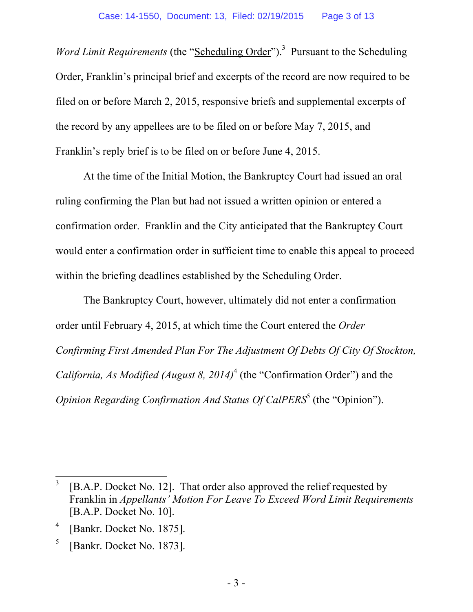*Word Limit Requirements* (the "Scheduling Order").<sup>3</sup> Pursuant to the Scheduling Order, Franklin's principal brief and excerpts of the record are now required to be filed on or before March 2, 2015, responsive briefs and supplemental excerpts of the record by any appellees are to be filed on or before May 7, 2015, and Franklin's reply brief is to be filed on or before June 4, 2015.

At the time of the Initial Motion, the Bankruptcy Court had issued an oral ruling confirming the Plan but had not issued a written opinion or entered a confirmation order. Franklin and the City anticipated that the Bankruptcy Court would enter a confirmation order in sufficient time to enable this appeal to proceed within the briefing deadlines established by the Scheduling Order.

The Bankruptcy Court, however, ultimately did not enter a confirmation order until February 4, 2015, at which time the Court entered the *Order Confirming First Amended Plan For The Adjustment Of Debts Of City Of Stockton, California, As Modified (August 8, 2014)*<sup>4</sup> (the "*Confirmation Order*") and the *Opinion Regarding Confirmation And Status Of CalPERS*<sup>5</sup> (the "*Opinion*").

 $\overline{a}$ 

5 [Bankr. Docket No. 1873].

<sup>3</sup> [B.A.P. Docket No. 12]. That order also approved the relief requested by Franklin in *Appellants' Motion For Leave To Exceed Word Limit Requirements* [B.A.P. Docket No. 10].

<sup>4</sup> [Bankr. Docket No. 1875].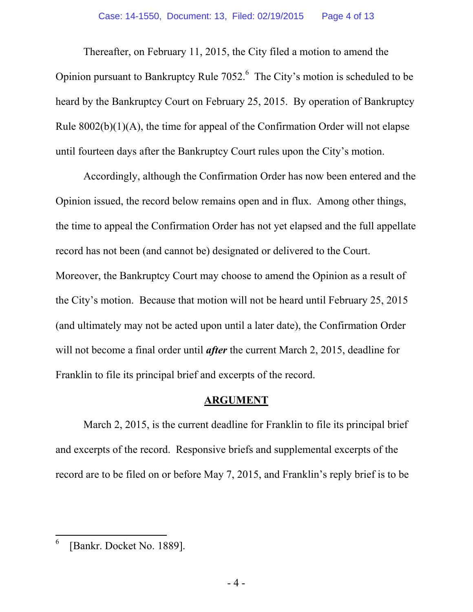Thereafter, on February 11, 2015, the City filed a motion to amend the Opinion pursuant to Bankruptcy Rule  $7052<sup>6</sup>$  The City's motion is scheduled to be heard by the Bankruptcy Court on February 25, 2015. By operation of Bankruptcy Rule  $8002(b)(1)(A)$ , the time for appeal of the Confirmation Order will not elapse until fourteen days after the Bankruptcy Court rules upon the City's motion.

Accordingly, although the Confirmation Order has now been entered and the Opinion issued, the record below remains open and in flux. Among other things, the time to appeal the Confirmation Order has not yet elapsed and the full appellate record has not been (and cannot be) designated or delivered to the Court. Moreover, the Bankruptcy Court may choose to amend the Opinion as a result of the City's motion. Because that motion will not be heard until February 25, 2015 (and ultimately may not be acted upon until a later date), the Confirmation Order will not become a final order until *after* the current March 2, 2015, deadline for Franklin to file its principal brief and excerpts of the record.

### **ARGUMENT**

March 2, 2015, is the current deadline for Franklin to file its principal brief and excerpts of the record. Responsive briefs and supplemental excerpts of the record are to be filed on or before May 7, 2015, and Franklin's reply brief is to be

<sup>6</sup> [Bankr. Docket No. 1889].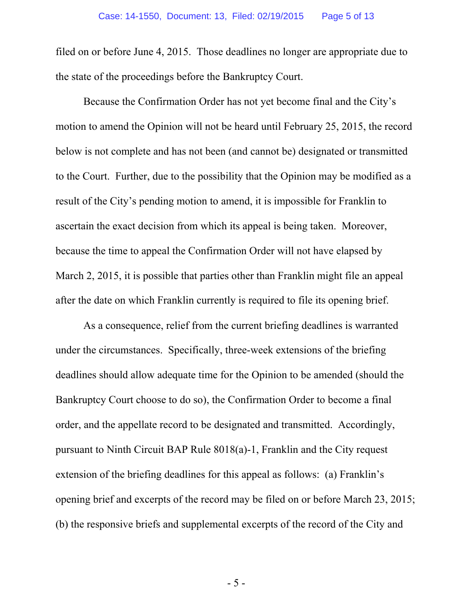filed on or before June 4, 2015. Those deadlines no longer are appropriate due to the state of the proceedings before the Bankruptcy Court.

Because the Confirmation Order has not yet become final and the City's motion to amend the Opinion will not be heard until February 25, 2015, the record below is not complete and has not been (and cannot be) designated or transmitted to the Court. Further, due to the possibility that the Opinion may be modified as a result of the City's pending motion to amend, it is impossible for Franklin to ascertain the exact decision from which its appeal is being taken. Moreover, because the time to appeal the Confirmation Order will not have elapsed by March 2, 2015, it is possible that parties other than Franklin might file an appeal after the date on which Franklin currently is required to file its opening brief.

As a consequence, relief from the current briefing deadlines is warranted under the circumstances. Specifically, three-week extensions of the briefing deadlines should allow adequate time for the Opinion to be amended (should the Bankruptcy Court choose to do so), the Confirmation Order to become a final order, and the appellate record to be designated and transmitted. Accordingly, pursuant to Ninth Circuit BAP Rule 8018(a)-1, Franklin and the City request extension of the briefing deadlines for this appeal as follows: (a) Franklin's opening brief and excerpts of the record may be filed on or before March 23, 2015; (b) the responsive briefs and supplemental excerpts of the record of the City and

- 5 -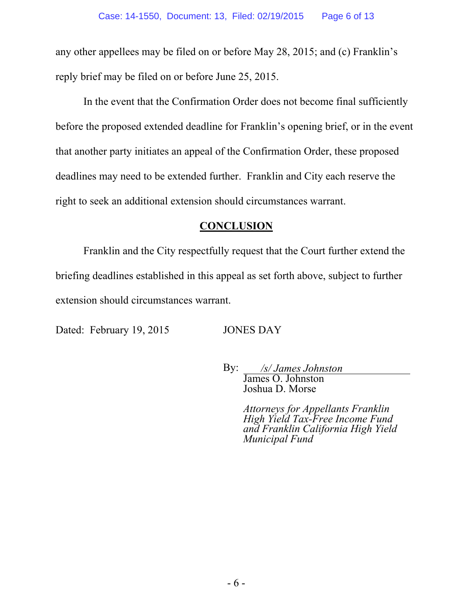any other appellees may be filed on or before May 28, 2015; and (c) Franklin's reply brief may be filed on or before June 25, 2015.

In the event that the Confirmation Order does not become final sufficiently before the proposed extended deadline for Franklin's opening brief, or in the event that another party initiates an appeal of the Confirmation Order, these proposed deadlines may need to be extended further. Franklin and City each reserve the right to seek an additional extension should circumstances warrant.

## **CONCLUSION**

Franklin and the City respectfully request that the Court further extend the briefing deadlines established in this appeal as set forth above, subject to further extension should circumstances warrant.

Dated: February 19, 2015 JONES DAY

 By: */s/ James Johnston*  James O. Johnston Joshua D. Morse

> *Attorneys for Appellants Franklin High Yield Tax-Free Income Fund and Franklin California High Yield Municipal Fund*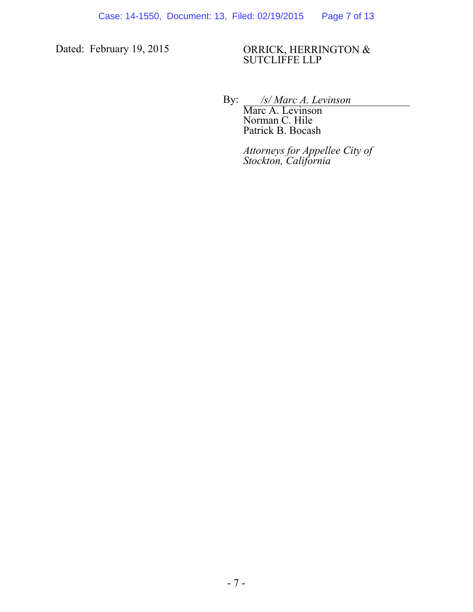#### Dated: February 19, 2015 ORRICK, HERRINGTON & SUTCLIFFE LLP

By: */s/ Marc A. Levinson* 

Marc A. Levinson Norman C. Hile Patrick B. Bocash

*Attorneys for Appellee City of Stockton, California*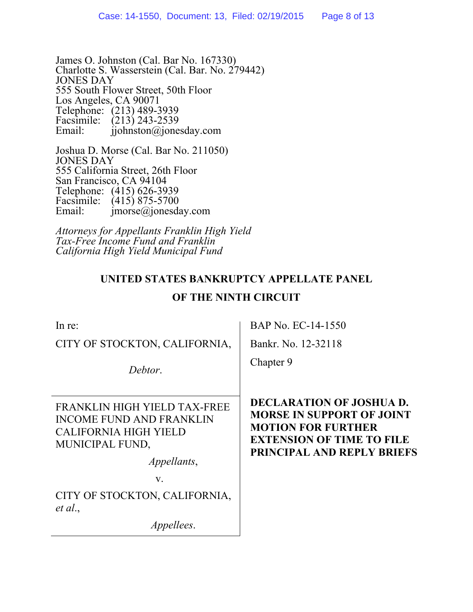James O. Johnston (Cal. Bar No. 167330) Charlotte S. Wasserstein (Cal. Bar. No. 279442) JONES DAY 555 South Flower Street, 50th Floor Los Angeles, CA 90071 Telephone: (213) 489-3939 Facsimile:  $(213)$  243-2539<br>Email: ijohnston@ione  $\hat{\mathbf{i}}$ iohnston $\hat{\mathbf{\omega}}$ jonesday.com

Joshua D. Morse (Cal. Bar No. 211050) JONES DAY 555 California Street, 26th Floor San Francisco, CA 94104 Telephone: (415) 626-3939 Facsimile:  $(415) 875-5700$ <br>Email: imorse@ionesda  $imorse@jonesday.com$ 

*Attorneys for Appellants Franklin High Yield Tax-Free Income Fund and Franklin California High Yield Municipal Fund* 

# **UNITED STATES BANKRUPTCY APPELLATE PANEL**

# **OF THE NINTH CIRCUIT**

| In re:                                                                                                             | BAP No. EC-14-1550                                                                                                                                                 |
|--------------------------------------------------------------------------------------------------------------------|--------------------------------------------------------------------------------------------------------------------------------------------------------------------|
| CITY OF STOCKTON, CALIFORNIA,                                                                                      | Bankr. No. 12-32118                                                                                                                                                |
| Debtor.                                                                                                            | Chapter 9                                                                                                                                                          |
| FRANKLIN HIGH YIELD TAX-FREE<br><b>INCOME FUND AND FRANKLIN</b><br><b>CALIFORNIA HIGH YIELD</b><br>MUNICIPAL FUND, | DECLARATION OF JOSHUA D.<br><b>MORSE IN SUPPORT OF JOINT</b><br><b>MOTION FOR FURTHER</b><br><b>EXTENSION OF TIME TO FILE</b><br><b>PRINCIPAL AND REPLY BRIEFS</b> |
| <i>Appellants,</i>                                                                                                 |                                                                                                                                                                    |
| V.                                                                                                                 |                                                                                                                                                                    |
| CITY OF STOCKTON, CALIFORNIA,<br>et al.,                                                                           |                                                                                                                                                                    |
| <i>Appellees.</i>                                                                                                  |                                                                                                                                                                    |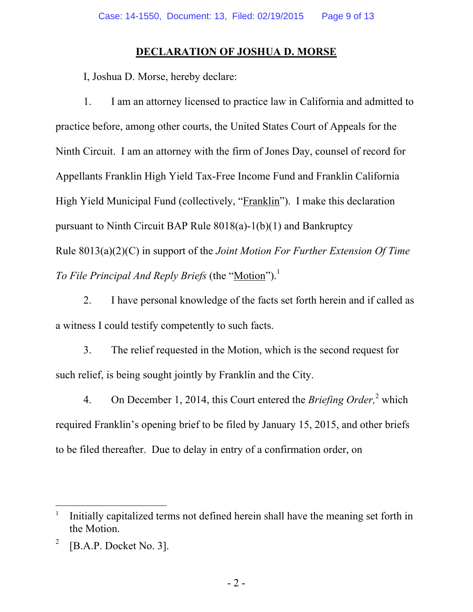## **DECLARATION OF JOSHUA D. MORSE**

I, Joshua D. Morse, hereby declare:

1. I am an attorney licensed to practice law in California and admitted to practice before, among other courts, the United States Court of Appeals for the Ninth Circuit. I am an attorney with the firm of Jones Day, counsel of record for Appellants Franklin High Yield Tax-Free Income Fund and Franklin California High Yield Municipal Fund (collectively, "Franklin"). I make this declaration pursuant to Ninth Circuit BAP Rule 8018(a)-1(b)(1) and Bankruptcy Rule 8013(a)(2)(C) in support of the *Joint Motion For Further Extension Of Time To File Principal And Reply Briefs* (the "Motion").<sup>1</sup>

2. I have personal knowledge of the facts set forth herein and if called as a witness I could testify competently to such facts.

3. The relief requested in the Motion, which is the second request for such relief, is being sought jointly by Franklin and the City.

4. On December 1, 2014, this Court entered the *Briefing Order*,<sup>2</sup> which required Franklin's opening brief to be filed by January 15, 2015, and other briefs to be filed thereafter. Due to delay in entry of a confirmation order, on

<sup>1</sup> Initially capitalized terms not defined herein shall have the meaning set forth in the Motion.

<sup>2</sup> [B.A.P. Docket No. 3].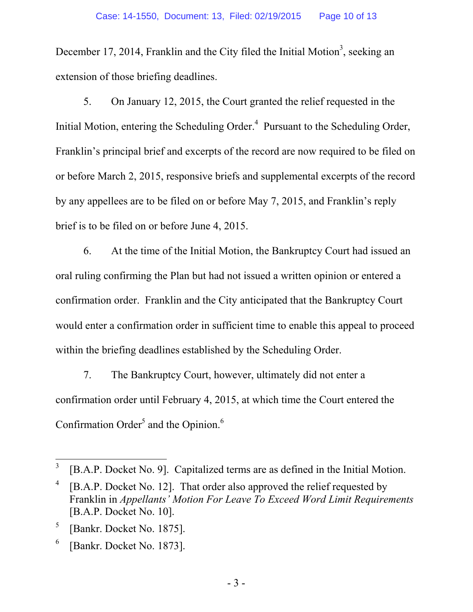December 17, 2014, Franklin and the City filed the Initial Motion<sup>3</sup>, seeking an extension of those briefing deadlines.

5. On January 12, 2015, the Court granted the relief requested in the Initial Motion, entering the Scheduling Order.<sup>4</sup> Pursuant to the Scheduling Order, Franklin's principal brief and excerpts of the record are now required to be filed on or before March 2, 2015, responsive briefs and supplemental excerpts of the record by any appellees are to be filed on or before May 7, 2015, and Franklin's reply brief is to be filed on or before June 4, 2015.

6. At the time of the Initial Motion, the Bankruptcy Court had issued an oral ruling confirming the Plan but had not issued a written opinion or entered a confirmation order. Franklin and the City anticipated that the Bankruptcy Court would enter a confirmation order in sufficient time to enable this appeal to proceed within the briefing deadlines established by the Scheduling Order.

7. The Bankruptcy Court, however, ultimately did not enter a confirmation order until February 4, 2015, at which time the Court entered the Confirmation Order<sup>5</sup> and the Opinion.<sup>6</sup>

5 [Bankr. Docket No. 1875].

 $\overline{a}$ 

6 [Bankr. Docket No. 1873].

<sup>3</sup> [B.A.P. Docket No. 9]. Capitalized terms are as defined in the Initial Motion.

<sup>4</sup> [B.A.P. Docket No. 12]. That order also approved the relief requested by Franklin in *Appellants' Motion For Leave To Exceed Word Limit Requirements* [B.A.P. Docket No. 10].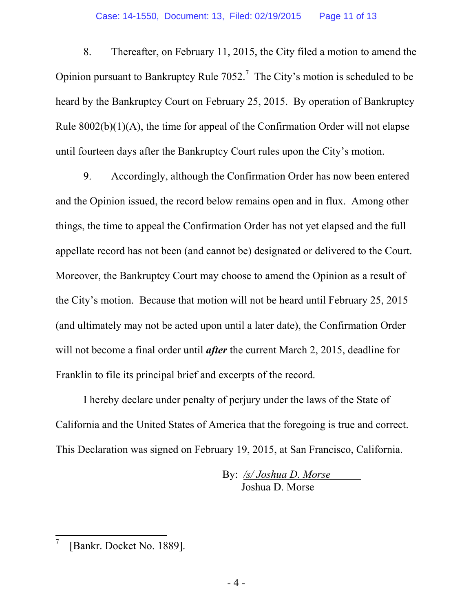8. Thereafter, on February 11, 2015, the City filed a motion to amend the Opinion pursuant to Bankruptcy Rule  $7052$ .<sup>7</sup> The City's motion is scheduled to be heard by the Bankruptcy Court on February 25, 2015. By operation of Bankruptcy Rule  $8002(b)(1)(A)$ , the time for appeal of the Confirmation Order will not elapse until fourteen days after the Bankruptcy Court rules upon the City's motion.

9. Accordingly, although the Confirmation Order has now been entered and the Opinion issued, the record below remains open and in flux. Among other things, the time to appeal the Confirmation Order has not yet elapsed and the full appellate record has not been (and cannot be) designated or delivered to the Court. Moreover, the Bankruptcy Court may choose to amend the Opinion as a result of the City's motion. Because that motion will not be heard until February 25, 2015 (and ultimately may not be acted upon until a later date), the Confirmation Order will not become a final order until *after* the current March 2, 2015, deadline for Franklin to file its principal brief and excerpts of the record.

I hereby declare under penalty of perjury under the laws of the State of California and the United States of America that the foregoing is true and correct. This Declaration was signed on February 19, 2015, at San Francisco, California.

> By: */s/ Joshua D. Morse*  Joshua D. Morse

<sup>7</sup> [Bankr. Docket No. 1889].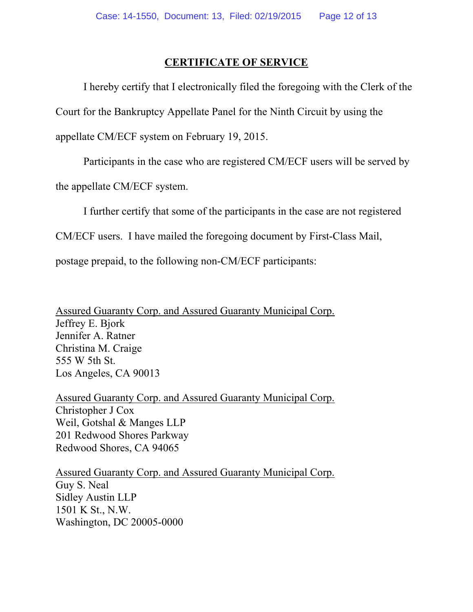## **CERTIFICATE OF SERVICE**

 I hereby certify that I electronically filed the foregoing with the Clerk of the Court for the Bankruptcy Appellate Panel for the Ninth Circuit by using the appellate CM/ECF system on February 19, 2015.

Participants in the case who are registered CM/ECF users will be served by

the appellate CM/ECF system.

I further certify that some of the participants in the case are not registered

CM/ECF users. I have mailed the foregoing document by First-Class Mail,

postage prepaid, to the following non-CM/ECF participants:

Assured Guaranty Corp. and Assured Guaranty Municipal Corp. Jeffrey E. Bjork Jennifer A. Ratner Christina M. Craige 555 W 5th St. Los Angeles, CA 90013

Assured Guaranty Corp. and Assured Guaranty Municipal Corp. Christopher J Cox Weil, Gotshal & Manges LLP 201 Redwood Shores Parkway Redwood Shores, CA 94065

Assured Guaranty Corp. and Assured Guaranty Municipal Corp. Guy S. Neal Sidley Austin LLP 1501 K St., N.W. Washington, DC 20005-0000